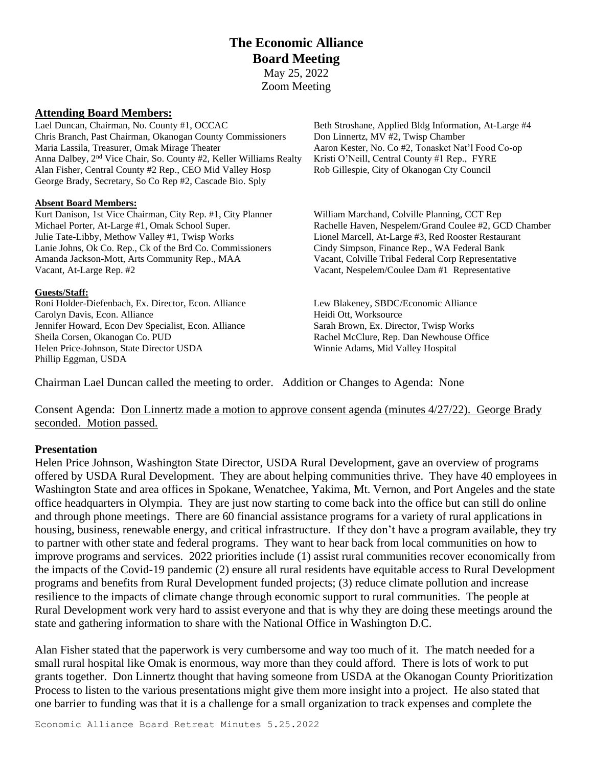# **The Economic Alliance Board Meeting** May 25, 2022 Zoom Meeting

### **Attending Board Members:**

Lael Duncan, Chairman, No. County #1, OCCAC Beth Stroshane, Applied Bldg Information, At-Large #4 Chris Branch, Past Chairman, Okanogan County Commissioners Don Linnertz, MV #2, Twisp Chamber Maria Lassila, Treasurer, Omak Mirage Theater Aaron Kester, No. Co #2, Tonasket Nat'l Food Co-op Anna Dalbey, 2<sup>nd</sup> Vice Chair, So. County #2, Keller Williams Realty Kristi O'Neill, Central County #1 Rep., FYRE Alan Fisher, Central County #2 Rep., CEO Mid Valley Hosp Rob Gillespie, City of Okanogan Cty Council George Brady, Secretary, So Co Rep #2, Cascade Bio. Sply

#### **Absent Board Members:**

Kurt Danison, 1st Vice Chairman, City Rep. #1, City Planner William Marchand, Colville Planning, CCT Rep Michael Porter, At-Large #1, Omak School Super. Rachelle Haven, Nespelem/Grand Coulee #2, GCD Chamber Julie Tate-Libby, Methow Valley #1, Twisp Works Lionel Marcell, At-Large #3, Red Rooster Restaurant Lanie Johns, Ok Co. Rep., Ck of the Brd Co. Commissioners Cindy Simpson, Finance Rep., WA Federal Bank Amanda Jackson-Mott, Arts Community Rep., MAA Vacant, Colville Tribal Federal Corp Representative Vacant, At-Large Rep. #2 Vacant, Nespelem/Coulee Dam #1 Representative

### **Guests/Staff:**

Roni Holder-Diefenbach, Ex. Director, Econ. Alliance Lew Blakeney, SBDC/Economic Alliance Carolyn Davis, Econ. Alliance Heidi Ott, Worksource Heidi Ott, Worksource Jennifer Howard, Econ Dev Specialist, Econ. Alliance Sarah Brown, Ex. Director, Twisp Works Sheila Corsen, Okanogan Co. PUD Rachel McClure, Rep. Dan Newhouse Office Helen Price-Johnson, State Director USDA Winnie Adams, Mid Valley Hospital Phillip Eggman, USDA

Chairman Lael Duncan called the meeting to order. Addition or Changes to Agenda: None

Consent Agenda: Don Linnertz made a motion to approve consent agenda (minutes 4/27/22). George Brady seconded. Motion passed.

# **Presentation**

Helen Price Johnson, Washington State Director, USDA Rural Development, gave an overview of programs offered by USDA Rural Development. They are about helping communities thrive. They have 40 employees in Washington State and area offices in Spokane, Wenatchee, Yakima, Mt. Vernon, and Port Angeles and the state office headquarters in Olympia. They are just now starting to come back into the office but can still do online and through phone meetings. There are 60 financial assistance programs for a variety of rural applications in housing, business, renewable energy, and critical infrastructure. If they don't have a program available, they try to partner with other state and federal programs. They want to hear back from local communities on how to improve programs and services. 2022 priorities include (1) assist rural communities recover economically from the impacts of the Covid-19 pandemic (2) ensure all rural residents have equitable access to Rural Development programs and benefits from Rural Development funded projects; (3) reduce climate pollution and increase resilience to the impacts of climate change through economic support to rural communities. The people at Rural Development work very hard to assist everyone and that is why they are doing these meetings around the state and gathering information to share with the National Office in Washington D.C.

Alan Fisher stated that the paperwork is very cumbersome and way too much of it. The match needed for a small rural hospital like Omak is enormous, way more than they could afford. There is lots of work to put grants together. Don Linnertz thought that having someone from USDA at the Okanogan County Prioritization Process to listen to the various presentations might give them more insight into a project. He also stated that one barrier to funding was that it is a challenge for a small organization to track expenses and complete the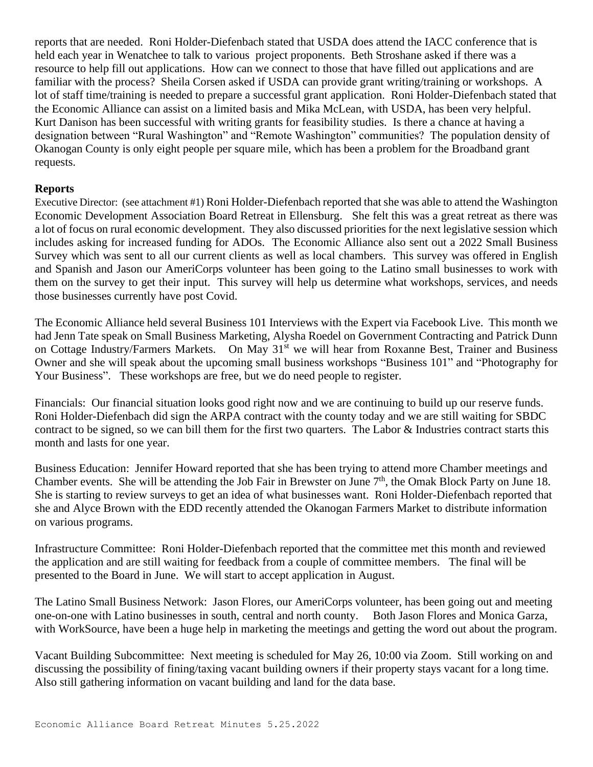reports that are needed. Roni Holder-Diefenbach stated that USDA does attend the IACC conference that is held each year in Wenatchee to talk to various project proponents. Beth Stroshane asked if there was a resource to help fill out applications. How can we connect to those that have filled out applications and are familiar with the process? Sheila Corsen asked if USDA can provide grant writing/training or workshops. A lot of staff time/training is needed to prepare a successful grant application. Roni Holder-Diefenbach stated that the Economic Alliance can assist on a limited basis and Mika McLean, with USDA, has been very helpful. Kurt Danison has been successful with writing grants for feasibility studies. Is there a chance at having a designation between "Rural Washington" and "Remote Washington" communities? The population density of Okanogan County is only eight people per square mile, which has been a problem for the Broadband grant requests.

# **Reports**

Executive Director: (see attachment #1) Roni Holder-Diefenbach reported that she was able to attend the Washington Economic Development Association Board Retreat in Ellensburg. She felt this was a great retreat as there was a lot of focus on rural economic development. They also discussed priorities for the next legislative session which includes asking for increased funding for ADOs. The Economic Alliance also sent out a 2022 Small Business Survey which was sent to all our current clients as well as local chambers. This survey was offered in English and Spanish and Jason our AmeriCorps volunteer has been going to the Latino small businesses to work with them on the survey to get their input. This survey will help us determine what workshops, services, and needs those businesses currently have post Covid.

The Economic Alliance held several Business 101 Interviews with the Expert via Facebook Live. This month we had Jenn Tate speak on Small Business Marketing, Alysha Roedel on Government Contracting and Patrick Dunn on Cottage Industry/Farmers Markets. On May 31<sup>st</sup> we will hear from Roxanne Best, Trainer and Business Owner and she will speak about the upcoming small business workshops "Business 101" and "Photography for Your Business". These workshops are free, but we do need people to register.

Financials: Our financial situation looks good right now and we are continuing to build up our reserve funds. Roni Holder-Diefenbach did sign the ARPA contract with the county today and we are still waiting for SBDC contract to be signed, so we can bill them for the first two quarters. The Labor & Industries contract starts this month and lasts for one year.

Business Education: Jennifer Howard reported that she has been trying to attend more Chamber meetings and Chamber events. She will be attending the Job Fair in Brewster on June 7<sup>th</sup>, the Omak Block Party on June 18. She is starting to review surveys to get an idea of what businesses want. Roni Holder-Diefenbach reported that she and Alyce Brown with the EDD recently attended the Okanogan Farmers Market to distribute information on various programs.

Infrastructure Committee: Roni Holder-Diefenbach reported that the committee met this month and reviewed the application and are still waiting for feedback from a couple of committee members. The final will be presented to the Board in June. We will start to accept application in August.

The Latino Small Business Network: Jason Flores, our AmeriCorps volunteer, has been going out and meeting one-on-one with Latino businesses in south, central and north county. Both Jason Flores and Monica Garza, with WorkSource, have been a huge help in marketing the meetings and getting the word out about the program.

Vacant Building Subcommittee: Next meeting is scheduled for May 26, 10:00 via Zoom. Still working on and discussing the possibility of fining/taxing vacant building owners if their property stays vacant for a long time. Also still gathering information on vacant building and land for the data base.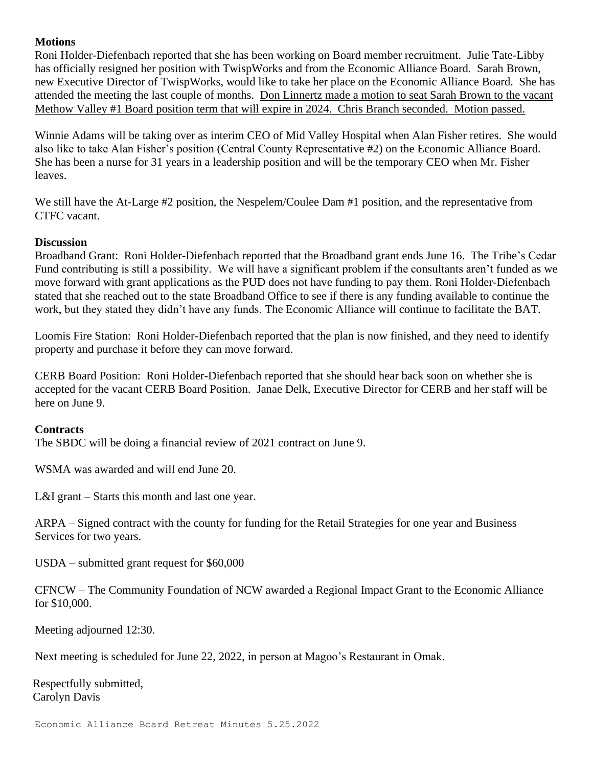# **Motions**

Roni Holder-Diefenbach reported that she has been working on Board member recruitment. Julie Tate-Libby has officially resigned her position with TwispWorks and from the Economic Alliance Board. Sarah Brown, new Executive Director of TwispWorks, would like to take her place on the Economic Alliance Board. She has attended the meeting the last couple of months. Don Linnertz made a motion to seat Sarah Brown to the vacant Methow Valley #1 Board position term that will expire in 2024. Chris Branch seconded. Motion passed.

Winnie Adams will be taking over as interim CEO of Mid Valley Hospital when Alan Fisher retires. She would also like to take Alan Fisher's position (Central County Representative #2) on the Economic Alliance Board. She has been a nurse for 31 years in a leadership position and will be the temporary CEO when Mr. Fisher leaves.

We still have the At-Large #2 position, the Nespelem/Coulee Dam #1 position, and the representative from CTFC vacant.

# **Discussion**

Broadband Grant: Roni Holder-Diefenbach reported that the Broadband grant ends June 16. The Tribe's Cedar Fund contributing is still a possibility. We will have a significant problem if the consultants aren't funded as we move forward with grant applications as the PUD does not have funding to pay them. Roni Holder-Diefenbach stated that she reached out to the state Broadband Office to see if there is any funding available to continue the work, but they stated they didn't have any funds. The Economic Alliance will continue to facilitate the BAT.

Loomis Fire Station: Roni Holder-Diefenbach reported that the plan is now finished, and they need to identify property and purchase it before they can move forward.

CERB Board Position: Roni Holder-Diefenbach reported that she should hear back soon on whether she is accepted for the vacant CERB Board Position. Janae Delk, Executive Director for CERB and her staff will be here on June 9.

# **Contracts**

The SBDC will be doing a financial review of 2021 contract on June 9.

WSMA was awarded and will end June 20.

L&I grant – Starts this month and last one year.

ARPA – Signed contract with the county for funding for the Retail Strategies for one year and Business Services for two years.

USDA – submitted grant request for \$60,000

CFNCW – The Community Foundation of NCW awarded a Regional Impact Grant to the Economic Alliance for \$10,000.

Meeting adjourned 12:30.

Next meeting is scheduled for June 22, 2022, in person at Magoo's Restaurant in Omak.

Respectfully submitted, Carolyn Davis

Economic Alliance Board Retreat Minutes 5.25.2022